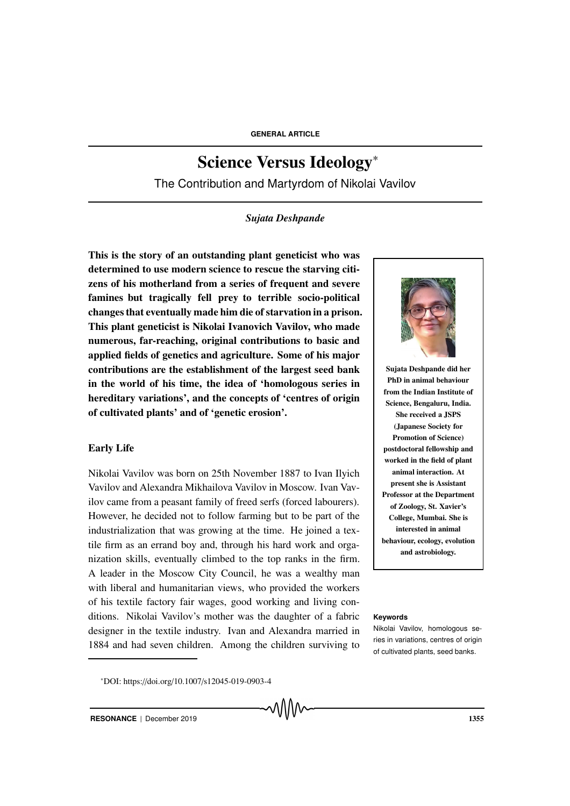# Science Versus Ideology<sup>∗</sup>

The Contribution and Martyrdom of Nikolai Vavilov

# *Sujata Deshpande*

This is the story of an outstanding plant geneticist who was determined to use modern science to rescue the starving citizens of his motherland from a series of frequent and severe famines but tragically fell prey to terrible socio-political changes that eventually made him die of starvation in a prison. This plant geneticist is Nikolai Ivanovich Vavilov, who made numerous, far-reaching, original contributions to basic and applied fields of genetics and agriculture. Some of his major contributions are the establishment of the largest seed bank in the world of his time, the idea of 'homologous series in hereditary variations', and the concepts of 'centres of origin of cultivated plants' and of 'genetic erosion'.

#### Early Life

Nikolai Vavilov was born on 25th November 1887 to Ivan Ilyich Vavilov and Alexandra Mikhailova Vavilov in Moscow. Ivan Vavilov came from a peasant family of freed serfs (forced labourers). However, he decided not to follow farming but to be part of the industrialization that was growing at the time. He joined a textile firm as an errand boy and, through his hard work and organization skills, eventually climbed to the top ranks in the firm. A leader in the Moscow City Council, he was a wealthy man with liberal and humanitarian views, who provided the workers of his textile factory fair wages, good working and living conditions. Nikolai Vavilov's mother was the daughter of a fabric **Keywords** designer in the textile industry. Ivan and Alexandra married in 1884 and had seven children. Among the children surviving to



Sujata Deshpande did her PhD in animal behaviour from the Indian Institute of Science, Bengaluru, India. She received a JSPS (Japanese Society for Promotion of Science) postdoctoral fellowship and worked in the field of plant animal interaction. At present she is Assistant Professor at the Department of Zoology, St. Xavier's College, Mumbai. She is interested in animal behaviour, ecology, evolution and astrobiology.

Nikolai Vavilov, homologous series in variations, centres of origin of cultivated plants, seed banks.

<sup>∗</sup>DOI: https://doi.org/10.1007/s12045-019-0903-4

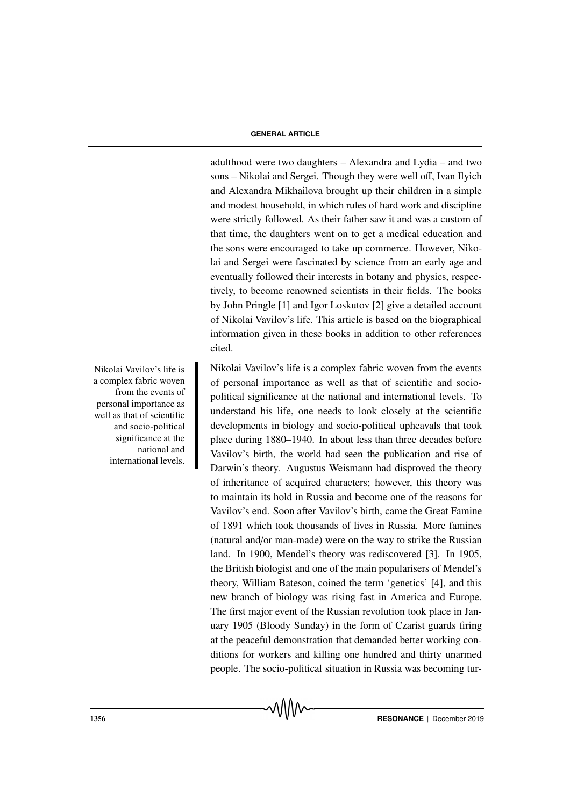adulthood were two daughters – Alexandra and Lydia – and two sons – Nikolai and Sergei. Though they were well off, Ivan Ilyich and Alexandra Mikhailova brought up their children in a simple and modest household, in which rules of hard work and discipline were strictly followed. As their father saw it and was a custom of that time, the daughters went on to get a medical education and the sons were encouraged to take up commerce. However, Nikolai and Sergei were fascinated by science from an early age and eventually followed their interests in botany and physics, respectively, to become renowned scientists in their fields. The books by John Pringle [1] and Igor Loskutov [2] give a detailed account of Nikolai Vavilov's life. This article is based on the biographical information given in these books in addition to other references cited.

Nikolai Vavilov's life is a complex fabric woven from the events of personal importance as well as that of scientific and sociopolitical significance at the national and international levels. To understand his life, one needs to look closely at the scientific developments in biology and socio-political upheavals that took place during 1880–1940. In about less than three decades before Vavilov's birth, the world had seen the publication and rise of Darwin's theory. Augustus Weismann had disproved the theory of inheritance of acquired characters; however, this theory was to maintain its hold in Russia and become one of the reasons for Vavilov's end. Soon after Vavilov's birth, came the Great Famine of 1891 which took thousands of lives in Russia. More famines (natural and/or man-made) were on the way to strike the Russian land. In 1900, Mendel's theory was rediscovered [3]. In 1905, the British biologist and one of the main popularisers of Mendel's theory, William Bateson, coined the term 'genetics' [4], and this new branch of biology was rising fast in America and Europe. The first major event of the Russian revolution took place in January 1905 (Bloody Sunday) in the form of Czarist guards firing at the peaceful demonstration that demanded better working conditions for workers and killing one hundred and thirty unarmed people. The socio-political situation in Russia was becoming tur-

Nikolai Vavilov's life is a complex fabric woven from the events of personal importance as well as that of scientific and socio-political significance at the national and international levels.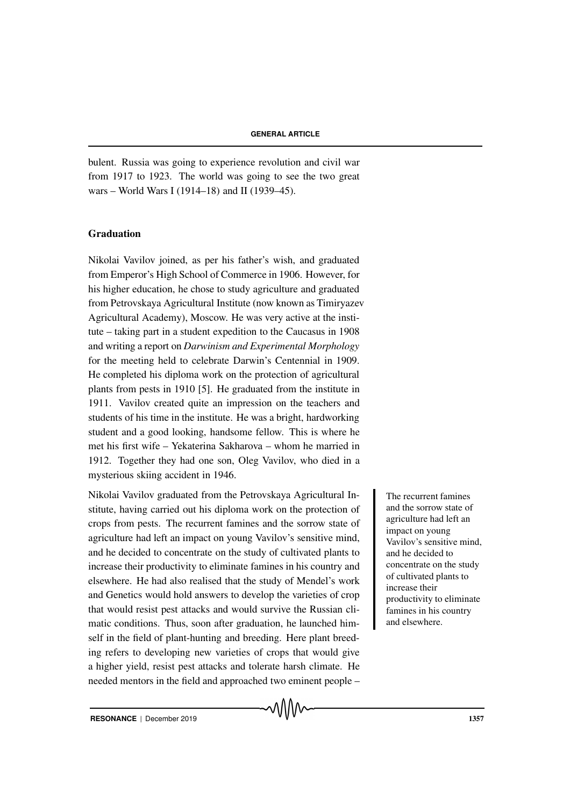bulent. Russia was going to experience revolution and civil war from 1917 to 1923. The world was going to see the two great wars – World Wars I (1914–18) and II (1939–45).

#### Graduation

Nikolai Vavilov joined, as per his father's wish, and graduated from Emperor's High School of Commerce in 1906. However, for his higher education, he chose to study agriculture and graduated from Petrovskaya Agricultural Institute (now known as Timiryazev Agricultural Academy), Moscow. He was very active at the institute – taking part in a student expedition to the Caucasus in 1908 and writing a report on *Darwinism and Experimental Morphology* for the meeting held to celebrate Darwin's Centennial in 1909. He completed his diploma work on the protection of agricultural plants from pests in 1910 [5]. He graduated from the institute in 1911. Vavilov created quite an impression on the teachers and students of his time in the institute. He was a bright, hardworking student and a good looking, handsome fellow. This is where he met his first wife – Yekaterina Sakharova – whom he married in 1912. Together they had one son, Oleg Vavilov, who died in a mysterious skiing accident in 1946.

Nikolai Vavilov graduated from the Petrovskaya Agricultural In-<br>The recurrent famines stitute, having carried out his diploma work on the protection of crops from pests. The recurrent famines and the sorrow state of agriculture had left an impact on young Vavilov's sensitive mind, and he decided to concentrate on the study of cultivated plants to increase their productivity to eliminate famines in his country and elsewhere. He had also realised that the study of Mendel's work and Genetics would hold answers to develop the varieties of crop that would resist pest attacks and would survive the Russian climatic conditions. Thus, soon after graduation, he launched himself in the field of plant-hunting and breeding. Here plant breeding refers to developing new varieties of crops that would give a higher yield, resist pest attacks and tolerate harsh climate. He needed mentors in the field and approached two eminent people –

and the sorrow state of agriculture had left an impact on young Vavilov's sensitive mind, and he decided to concentrate on the study of cultivated plants to increase their productivity to eliminate famines in his country and elsewhere.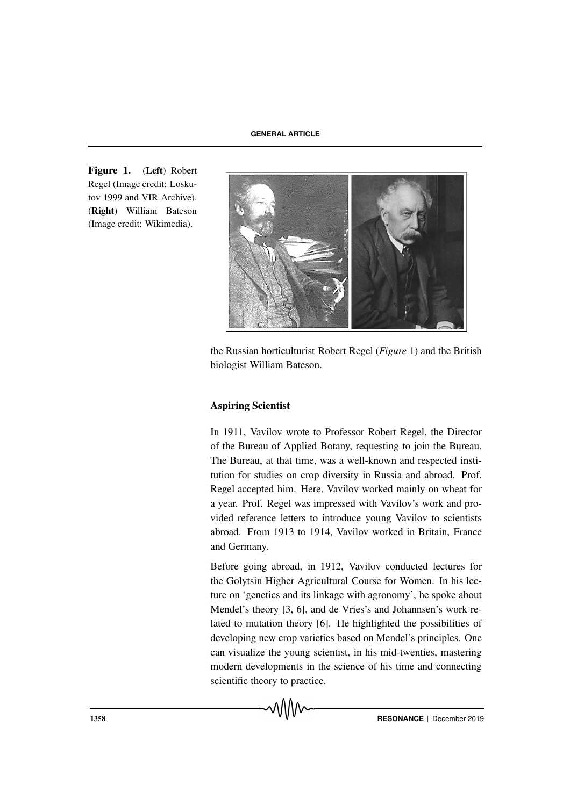Figure 1. (Left) Robert Regel (Image credit: Loskutov 1999 and VIR Archive). (Right) William Bateson (Image credit: Wikimedia).



the Russian horticulturist Robert Regel (*Figure* 1) and the British biologist William Bateson.

# Aspiring Scientist

In 1911, Vavilov wrote to Professor Robert Regel, the Director of the Bureau of Applied Botany, requesting to join the Bureau. The Bureau, at that time, was a well-known and respected institution for studies on crop diversity in Russia and abroad. Prof. Regel accepted him. Here, Vavilov worked mainly on wheat for a year. Prof. Regel was impressed with Vavilov's work and provided reference letters to introduce young Vavilov to scientists abroad. From 1913 to 1914, Vavilov worked in Britain, France and Germany.

Before going abroad, in 1912, Vavilov conducted lectures for the Golytsin Higher Agricultural Course for Women. In his lecture on 'genetics and its linkage with agronomy', he spoke about Mendel's theory [3, 6], and de Vries's and Johannsen's work related to mutation theory [6]. He highlighted the possibilities of developing new crop varieties based on Mendel's principles. One can visualize the young scientist, in his mid-twenties, mastering modern developments in the science of his time and connecting scientific theory to practice.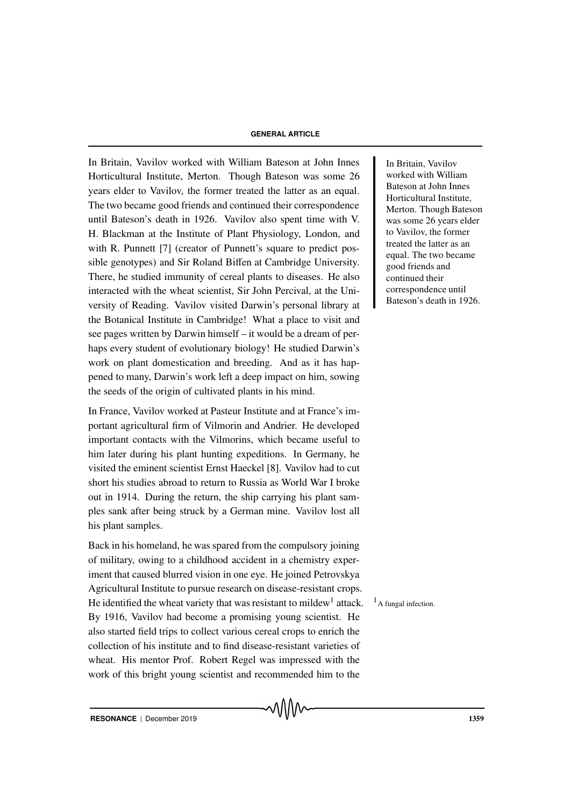In Britain, Vavilov worked with William Bateson at John Innes In Britain, Vavilov Horticultural Institute, Merton. Though Bateson was some 26 years elder to Vavilov, the former treated the latter as an equal. The two became good friends and continued their correspondence until Bateson's death in 1926. Vavilov also spent time with V. H. Blackman at the Institute of Plant Physiology, London, and with R. Punnett [7] (creator of Punnett's square to predict possible genotypes) and Sir Roland Biffen at Cambridge University. There, he studied immunity of cereal plants to diseases. He also interacted with the wheat scientist, Sir John Percival, at the University of Reading. Vavilov visited Darwin's personal library at the Botanical Institute in Cambridge! What a place to visit and see pages written by Darwin himself – it would be a dream of perhaps every student of evolutionary biology! He studied Darwin's work on plant domestication and breeding. And as it has happened to many, Darwin's work left a deep impact on him, sowing the seeds of the origin of cultivated plants in his mind.

In France, Vavilov worked at Pasteur Institute and at France's important agricultural firm of Vilmorin and Andrier. He developed important contacts with the Vilmorins, which became useful to him later during his plant hunting expeditions. In Germany, he visited the eminent scientist Ernst Haeckel [8]. Vavilov had to cut short his studies abroad to return to Russia as World War I broke out in 1914. During the return, the ship carrying his plant samples sank after being struck by a German mine. Vavilov lost all his plant samples.

Back in his homeland, he was spared from the compulsory joining of military, owing to a childhood accident in a chemistry experiment that caused blurred vision in one eye. He joined Petrovskya Agricultural Institute to pursue research on disease-resistant crops. He identified the wheat variety that was resistant to mildew<sup>1</sup> attack. <sup>1</sup>A fungal infection. By 1916, Vavilov had become a promising young scientist. He also started field trips to collect various cereal crops to enrich the collection of his institute and to find disease-resistant varieties of wheat. His mentor Prof. Robert Regel was impressed with the work of this bright young scientist and recommended him to the

worked with William Bateson at John Innes Horticultural Institute, Merton. Though Bateson was some 26 years elder to Vavilov, the former treated the latter as an equal. The two became good friends and continued their correspondence until Bateson's death in 1926.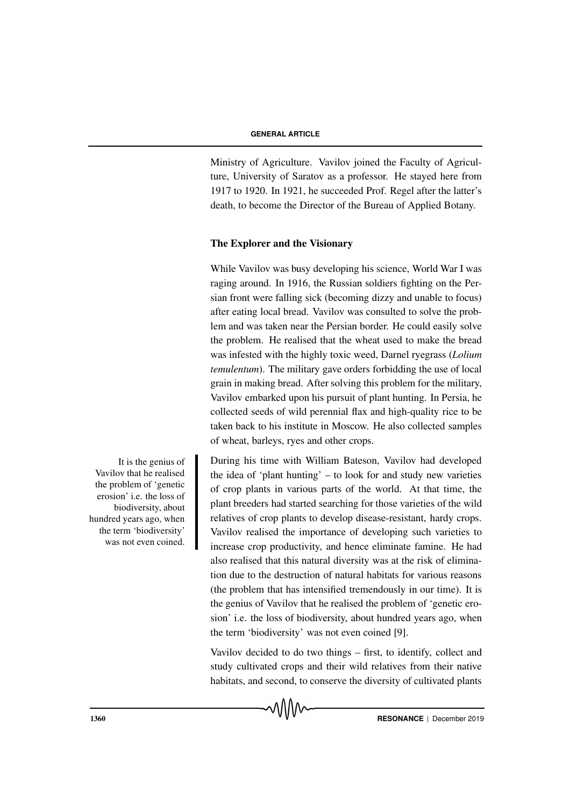Ministry of Agriculture. Vavilov joined the Faculty of Agriculture, University of Saratov as a professor. He stayed here from 1917 to 1920. In 1921, he succeeded Prof. Regel after the latter's death, to become the Director of the Bureau of Applied Botany.

#### The Explorer and the Visionary

While Vavilov was busy developing his science, World War I was raging around. In 1916, the Russian soldiers fighting on the Persian front were falling sick (becoming dizzy and unable to focus) after eating local bread. Vavilov was consulted to solve the problem and was taken near the Persian border. He could easily solve the problem. He realised that the wheat used to make the bread was infested with the highly toxic weed, Darnel ryegrass (*Lolium temulentum*). The military gave orders forbidding the use of local grain in making bread. After solving this problem for the military, Vavilov embarked upon his pursuit of plant hunting. In Persia, he collected seeds of wild perennial flax and high-quality rice to be taken back to his institute in Moscow. He also collected samples of wheat, barleys, ryes and other crops.

During his time with William Bateson, Vavilov had developed the idea of 'plant hunting' – to look for and study new varieties of crop plants in various parts of the world. At that time, the plant breeders had started searching for those varieties of the wild relatives of crop plants to develop disease-resistant, hardy crops. Vavilov realised the importance of developing such varieties to increase crop productivity, and hence eliminate famine. He had also realised that this natural diversity was at the risk of elimination due to the destruction of natural habitats for various reasons (the problem that has intensified tremendously in our time). It is the genius of Vavilov that he realised the problem of 'genetic erosion' i.e. the loss of biodiversity, about hundred years ago, when the term 'biodiversity' was not even coined [9].

Vavilov decided to do two things – first, to identify, collect and study cultivated crops and their wild relatives from their native habitats, and second, to conserve the diversity of cultivated plants

It is the genius of Vavilov that he realised the problem of 'genetic erosion' i.e. the loss of biodiversity, about hundred years ago, when the term 'biodiversity' was not even coined.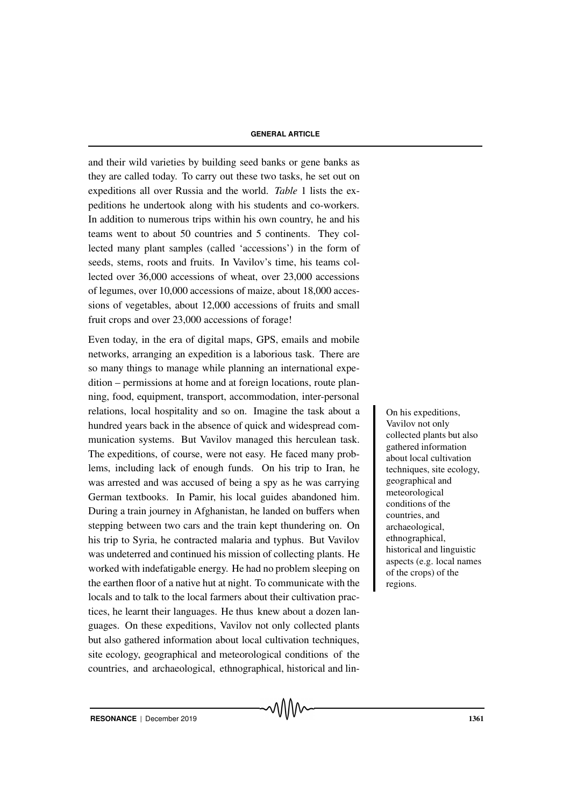and their wild varieties by building seed banks or gene banks as they are called today. To carry out these two tasks, he set out on expeditions all over Russia and the world. *Table* 1 lists the expeditions he undertook along with his students and co-workers. In addition to numerous trips within his own country, he and his teams went to about 50 countries and 5 continents. They collected many plant samples (called 'accessions') in the form of seeds, stems, roots and fruits. In Vavilov's time, his teams collected over 36,000 accessions of wheat, over 23,000 accessions of legumes, over 10,000 accessions of maize, about 18,000 accessions of vegetables, about 12,000 accessions of fruits and small fruit crops and over 23,000 accessions of forage!

Even today, in the era of digital maps, GPS, emails and mobile networks, arranging an expedition is a laborious task. There are so many things to manage while planning an international expedition – permissions at home and at foreign locations, route planning, food, equipment, transport, accommodation, inter-personal relations, local hospitality and so on. Imagine the task about a non-line on his expeditions, hundred years back in the absence of quick and widespread communication systems. But Vavilov managed this herculean task. The expeditions, of course, were not easy. He faced many problems, including lack of enough funds. On his trip to Iran, he was arrested and was accused of being a spy as he was carrying German textbooks. In Pamir, his local guides abandoned him. During a train journey in Afghanistan, he landed on buffers when stepping between two cars and the train kept thundering on. On his trip to Syria, he contracted malaria and typhus. But Vavilov was undeterred and continued his mission of collecting plants. He worked with indefatigable energy. He had no problem sleeping on the earthen floor of a native hut at night. To communicate with the locals and to talk to the local farmers about their cultivation practices, he learnt their languages. He thus knew about a dozen languages. On these expeditions, Vavilov not only collected plants but also gathered information about local cultivation techniques, site ecology, geographical and meteorological conditions of the countries, and archaeological, ethnographical, historical and lin-

Vavilov not only collected plants but also gathered information about local cultivation techniques, site ecology, geographical and meteorological conditions of the countries, and archaeological, ethnographical, historical and linguistic aspects (e.g. local names of the crops) of the regions.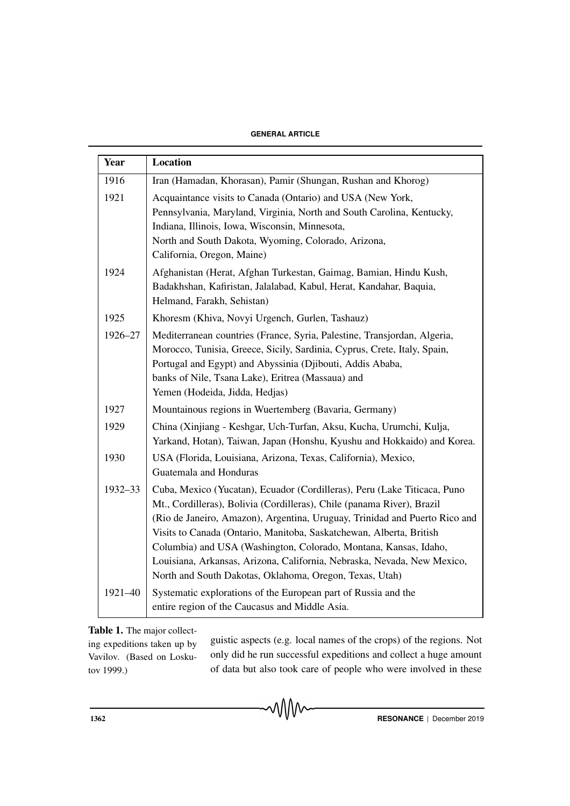#### **GENERAL ARTICLE**

| Year    | Location                                                                                                                                                                                                                                                                                                                                                                                                                                                                                                          |
|---------|-------------------------------------------------------------------------------------------------------------------------------------------------------------------------------------------------------------------------------------------------------------------------------------------------------------------------------------------------------------------------------------------------------------------------------------------------------------------------------------------------------------------|
| 1916    | Iran (Hamadan, Khorasan), Pamir (Shungan, Rushan and Khorog)                                                                                                                                                                                                                                                                                                                                                                                                                                                      |
| 1921    | Acquaintance visits to Canada (Ontario) and USA (New York,<br>Pennsylvania, Maryland, Virginia, North and South Carolina, Kentucky,<br>Indiana, Illinois, Iowa, Wisconsin, Minnesota,<br>North and South Dakota, Wyoming, Colorado, Arizona,                                                                                                                                                                                                                                                                      |
|         | California, Oregon, Maine)                                                                                                                                                                                                                                                                                                                                                                                                                                                                                        |
| 1924    | Afghanistan (Herat, Afghan Turkestan, Gaimag, Bamian, Hindu Kush,<br>Badakhshan, Kafiristan, Jalalabad, Kabul, Herat, Kandahar, Baquia,<br>Helmand, Farakh, Sehistan)                                                                                                                                                                                                                                                                                                                                             |
| 1925    | Khoresm (Khiva, Novyi Urgench, Gurlen, Tashauz)                                                                                                                                                                                                                                                                                                                                                                                                                                                                   |
| 1926-27 | Mediterranean countries (France, Syria, Palestine, Transjordan, Algeria,<br>Morocco, Tunisia, Greece, Sicily, Sardinia, Cyprus, Crete, Italy, Spain,<br>Portugal and Egypt) and Abyssinia (Djibouti, Addis Ababa,<br>banks of Nile, Tsana Lake), Eritrea (Massaua) and<br>Yemen (Hodeida, Jidda, Hedjas)                                                                                                                                                                                                          |
| 1927    | Mountainous regions in Wuertemberg (Bavaria, Germany)                                                                                                                                                                                                                                                                                                                                                                                                                                                             |
| 1929    | China (Xinjiang - Keshgar, Uch-Turfan, Aksu, Kucha, Urumchi, Kulja,<br>Yarkand, Hotan), Taiwan, Japan (Honshu, Kyushu and Hokkaido) and Korea.                                                                                                                                                                                                                                                                                                                                                                    |
| 1930    | USA (Florida, Louisiana, Arizona, Texas, California), Mexico,<br>Guatemala and Honduras                                                                                                                                                                                                                                                                                                                                                                                                                           |
| 1932-33 | Cuba, Mexico (Yucatan), Ecuador (Cordilleras), Peru (Lake Titicaca, Puno<br>Mt., Cordilleras), Bolivia (Cordilleras), Chile (panama River), Brazil<br>(Rio de Janeiro, Amazon), Argentina, Uruguay, Trinidad and Puerto Rico and<br>Visits to Canada (Ontario, Manitoba, Saskatchewan, Alberta, British<br>Columbia) and USA (Washington, Colorado, Montana, Kansas, Idaho,<br>Louisiana, Arkansas, Arizona, California, Nebraska, Nevada, New Mexico,<br>North and South Dakotas, Oklahoma, Oregon, Texas, Utah) |
| 1921-40 | Systematic explorations of the European part of Russia and the<br>entire region of the Caucasus and Middle Asia.                                                                                                                                                                                                                                                                                                                                                                                                  |

#### Table 1. The major collect-

ing expeditions taken up by Vavilov. (Based on Loskutov 1999.)

guistic aspects (e.g. local names of the crops) of the regions. Not only did he run successful expeditions and collect a huge amount of data but also took care of people who were involved in these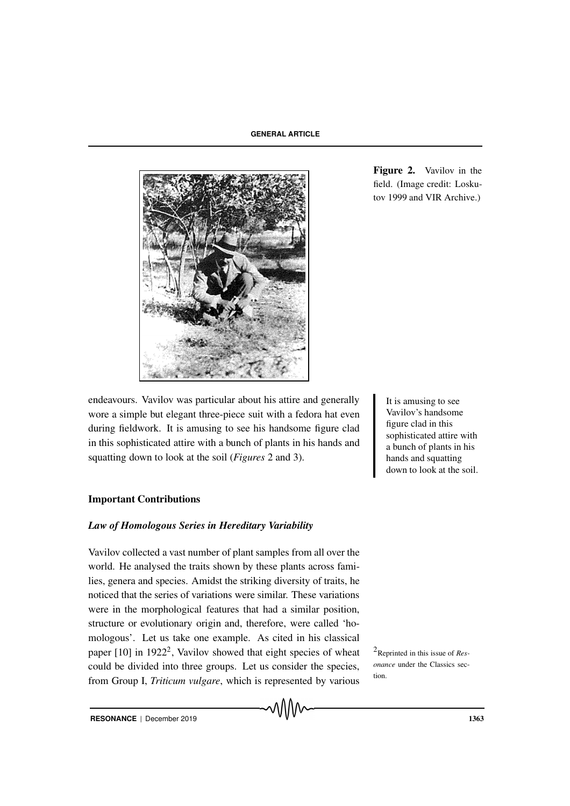

Figure 2. Vavilov in the field. (Image credit: Loskutov 1999 and VIR Archive.)

endeavours. Vavilov was particular about his attire and generally It is amusing to see wore a simple but elegant three-piece suit with a fedora hat even during fieldwork. It is amusing to see his handsome figure clad in this sophisticated attire with a bunch of plants in his hands and squatting down to look at the soil (*Figures* 2 and 3).

# Vavilov's handsome figure clad in this sophisticated attire with a bunch of plants in his hands and squatting down to look at the soil.

#### Important Contributions

#### *Law of Homologous Series in Hereditary Variability*

Vavilov collected a vast number of plant samples from all over the world. He analysed the traits shown by these plants across families, genera and species. Amidst the striking diversity of traits, he noticed that the series of variations were similar. These variations were in the morphological features that had a similar position, structure or evolutionary origin and, therefore, were called 'homologous'. Let us take one example. As cited in his classical paper [10] in 1922<sup>2</sup>, Vavilov showed that eight species of wheat <sup>2</sup>Reprinted in this issue of Rescould be divided into three groups. Let us consider the species, from Group I, *Triticum vulgare*, which is represented by various

*onance* under the Classics section.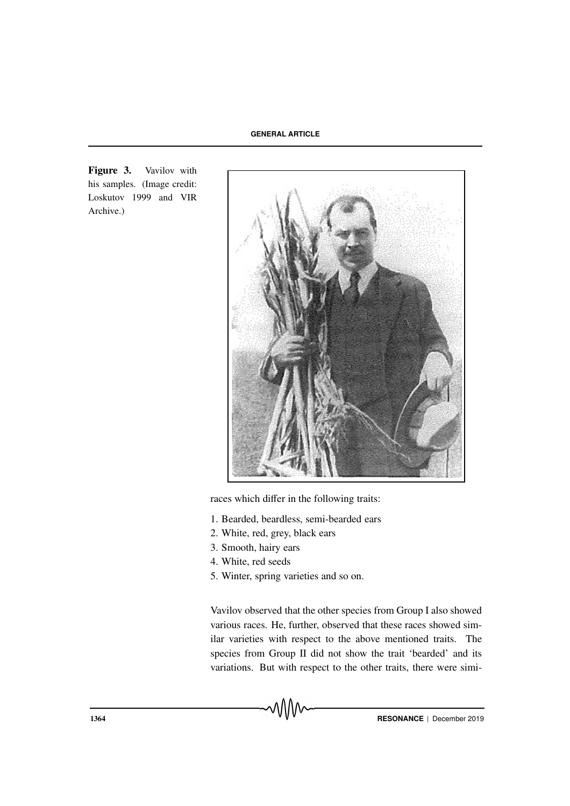Figure 3. Vavilov with his samples. (Image credit: Loskutov 1999 and VIR Archive.)



races which differ in the following traits:

- 1. Bearded, beardless, semi-bearded ears
- 2. White, red, grey, black ears
- 3. Smooth, hairy ears
- 4. White, red seeds
- 5. Winter, spring varieties and so on.

Vavilov observed that the other species from Group I also showed various races. He, further, observed that these races showed similar varieties with respect to the above mentioned traits. The species from Group II did not show the trait 'bearded' and its variations. But with respect to the other traits, there were simi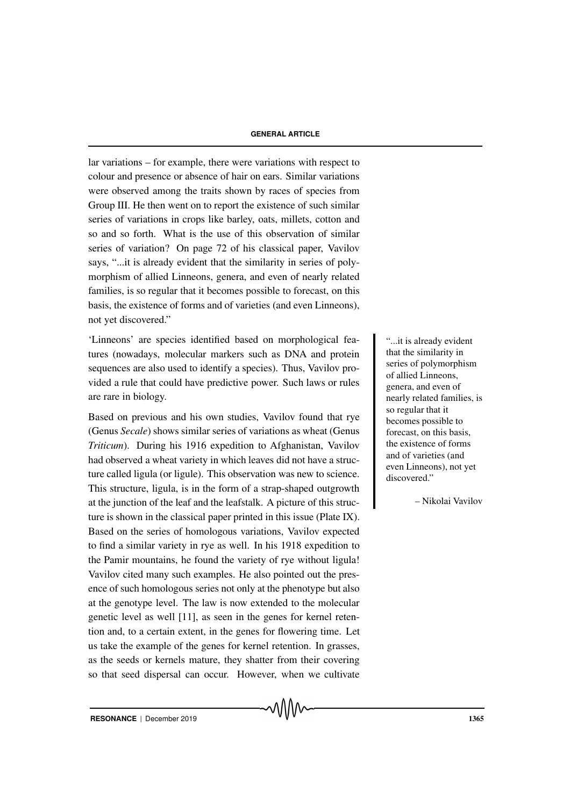lar variations – for example, there were variations with respect to colour and presence or absence of hair on ears. Similar variations were observed among the traits shown by races of species from Group III. He then went on to report the existence of such similar series of variations in crops like barley, oats, millets, cotton and so and so forth. What is the use of this observation of similar series of variation? On page 72 of his classical paper, Vavilov says, "...it is already evident that the similarity in series of polymorphism of allied Linneons, genera, and even of nearly related families, is so regular that it becomes possible to forecast, on this basis, the existence of forms and of varieties (and even Linneons), not yet discovered."

'Linneons' are species identified based on morphological fea-<br>
...it is already evident tures (nowadays, molecular markers such as DNA and protein sequences are also used to identify a species). Thus, Vavilov provided a rule that could have predictive power. Such laws or rules are rare in biology.

Based on previous and his own studies, Vavilov found that rye (Genus *Secale*) shows similar series of variations as wheat (Genus *Triticum*). During his 1916 expedition to Afghanistan, Vavilov had observed a wheat variety in which leaves did not have a structure called ligula (or ligule). This observation was new to science. This structure, ligula, is in the form of a strap-shaped outgrowth at the junction of the leaf and the leafstalk. A picture of this structure is shown in the classical paper printed in this issue (Plate IX). Based on the series of homologous variations, Vavilov expected to find a similar variety in rye as well. In his 1918 expedition to the Pamir mountains, he found the variety of rye without ligula! Vavilov cited many such examples. He also pointed out the presence of such homologous series not only at the phenotype but also at the genotype level. The law is now extended to the molecular genetic level as well [11], as seen in the genes for kernel retention and, to a certain extent, in the genes for flowering time. Let us take the example of the genes for kernel retention. In grasses, as the seeds or kernels mature, they shatter from their covering so that seed dispersal can occur. However, when we cultivate

that the similarity in series of polymorphism of allied Linneons, genera, and even of nearly related families, is so regular that it becomes possible to forecast, on this basis, the existence of forms and of varieties (and even Linneons), not yet discovered."

– Nikolai Vavilov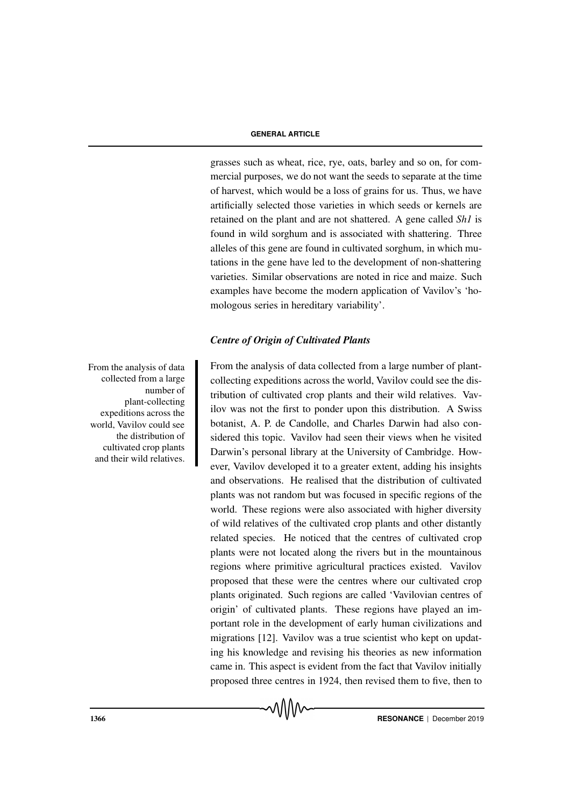grasses such as wheat, rice, rye, oats, barley and so on, for commercial purposes, we do not want the seeds to separate at the time of harvest, which would be a loss of grains for us. Thus, we have artificially selected those varieties in which seeds or kernels are retained on the plant and are not shattered. A gene called *Sh1* is found in wild sorghum and is associated with shattering. Three alleles of this gene are found in cultivated sorghum, in which mutations in the gene have led to the development of non-shattering varieties. Similar observations are noted in rice and maize. Such examples have become the modern application of Vavilov's 'homologous series in hereditary variability'.

# *Centre of Origin of Cultivated Plants*

From the analysis of data collected from a large number of plantcollecting expeditions across the world, Vavilov could see the distribution of cultivated crop plants and their wild relatives. Vavilov was not the first to ponder upon this distribution. A Swiss botanist, A. P. de Candolle, and Charles Darwin had also considered this topic. Vavilov had seen their views when he visited Darwin's personal library at the University of Cambridge. However, Vavilov developed it to a greater extent, adding his insights and observations. He realised that the distribution of cultivated plants was not random but was focused in specific regions of the world. These regions were also associated with higher diversity of wild relatives of the cultivated crop plants and other distantly related species. He noticed that the centres of cultivated crop plants were not located along the rivers but in the mountainous regions where primitive agricultural practices existed. Vavilov proposed that these were the centres where our cultivated crop plants originated. Such regions are called 'Vavilovian centres of origin' of cultivated plants. These regions have played an important role in the development of early human civilizations and migrations [12]. Vavilov was a true scientist who kept on updating his knowledge and revising his theories as new information came in. This aspect is evident from the fact that Vavilov initially proposed three centres in 1924, then revised them to five, then to

From the analysis of data collected from a large number of plant-collecting expeditions across the world, Vavilov could see the distribution of cultivated crop plants and their wild relatives.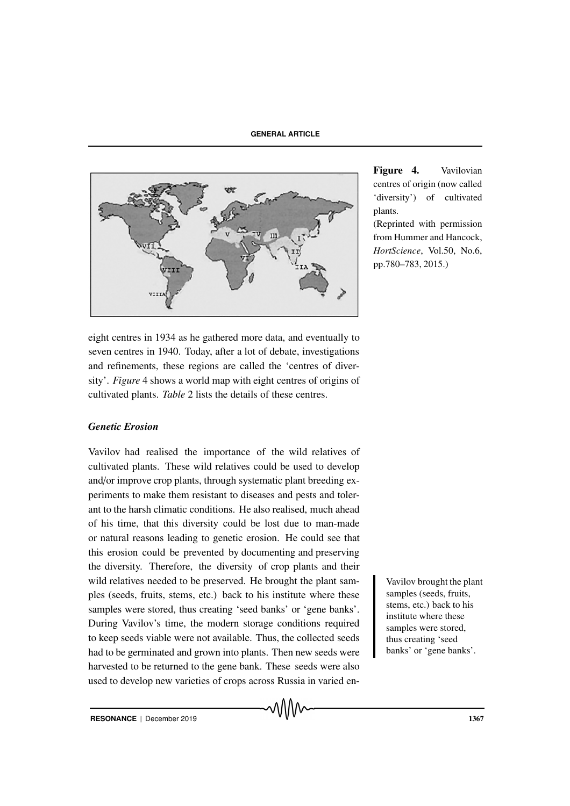

eight centres in 1934 as he gathered more data, and eventually to seven centres in 1940. Today, after a lot of debate, investigations and refinements, these regions are called the 'centres of diversity'. *Figure* 4 shows a world map with eight centres of origins of cultivated plants. *Table* 2 lists the details of these centres.

#### *Genetic Erosion*

Vavilov had realised the importance of the wild relatives of cultivated plants. These wild relatives could be used to develop and/or improve crop plants, through systematic plant breeding experiments to make them resistant to diseases and pests and tolerant to the harsh climatic conditions. He also realised, much ahead of his time, that this diversity could be lost due to man-made or natural reasons leading to genetic erosion. He could see that this erosion could be prevented by documenting and preserving the diversity. Therefore, the diversity of crop plants and their wild relatives needed to be preserved. He brought the plant sam-<br>Vavilov brought the plant ples (seeds, fruits, stems, etc.) back to his institute where these samples were stored, thus creating 'seed banks' or 'gene banks'. During Vavilov's time, the modern storage conditions required to keep seeds viable were not available. Thus, the collected seeds had to be germinated and grown into plants. Then new seeds were harvested to be returned to the gene bank. These seeds were also used to develop new varieties of crops across Russia in varied en-

Figure 4. Vavilovian centres of origin (now called 'diversity') of cultivated plants.

(Reprinted with permission from Hummer and Hancock, *HortScience*, Vol.50, No.6, pp.780–783, 2015.)

> samples (seeds, fruits, stems, etc.) back to his institute where these samples were stored, thus creating 'seed banks' or 'gene banks'.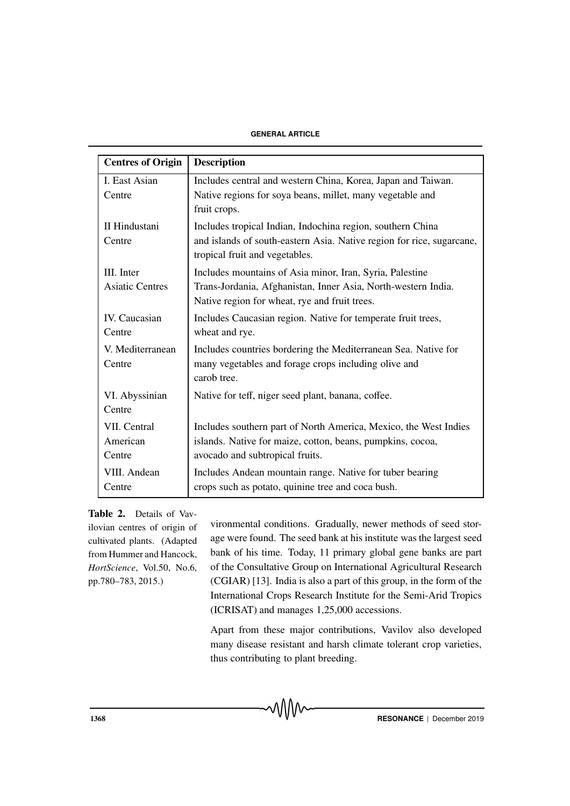#### **GENERAL ARTICLE**

| <b>Centres of Origin</b> | <b>Description</b>                                                                                             |
|--------------------------|----------------------------------------------------------------------------------------------------------------|
| I. East Asian            | Includes central and western China, Korea, Japan and Taiwan.                                                   |
| Centre                   | Native regions for soya beans, millet, many vegetable and<br>fruit crops.                                      |
| II Hindustani            | Includes tropical Indian, Indochina region, southern China                                                     |
| Centre                   | and islands of south-eastern Asia. Native region for rice, sugarcane,<br>tropical fruit and vegetables.        |
| III. Inter               | Includes mountains of Asia minor, Iran, Syria, Palestine                                                       |
| <b>Asiatic Centres</b>   | Trans-Jordania, Afghanistan, Inner Asia, North-western India.<br>Native region for wheat, rye and fruit trees. |
| <b>IV.</b> Caucasian     | Includes Caucasian region. Native for temperate fruit trees,                                                   |
| Centre                   | wheat and rye.                                                                                                 |
| V. Mediterranean         | Includes countries bordering the Mediterranean Sea. Native for                                                 |
| Centre                   | many vegetables and forage crops including olive and<br>carob tree.                                            |
| VI. Abyssinian           | Native for teff, niger seed plant, banana, coffee.                                                             |
| Centre                   |                                                                                                                |
| VII. Central             | Includes southern part of North America, Mexico, the West Indies                                               |
| American                 | islands. Native for maize, cotton, beans, pumpkins, cocoa,                                                     |
| Centre                   | avocado and subtropical fruits.                                                                                |
| VIII. Andean             | Includes Andean mountain range. Native for tuber bearing                                                       |
| Centre                   | crops such as potato, quinine tree and coca bush.                                                              |

Table 2. Details of Vavilovian centres of origin of cultivated plants. (Adapted from Hummer and Hancock, *HortScience*, Vol.50, No.6, pp.780–783, 2015.)

vironmental conditions. Gradually, newer methods of seed storage were found. The seed bank at his institute was the largest seed bank of his time. Today, 11 primary global gene banks are part of the Consultative Group on International Agricultural Research (CGIAR) [13]. India is also a part of this group, in the form of the International Crops Research Institute for the Semi-Arid Tropics (ICRISAT) and manages 1,25,000 accessions.

Apart from these major contributions, Vavilov also developed many disease resistant and harsh climate tolerant crop varieties, thus contributing to plant breeding.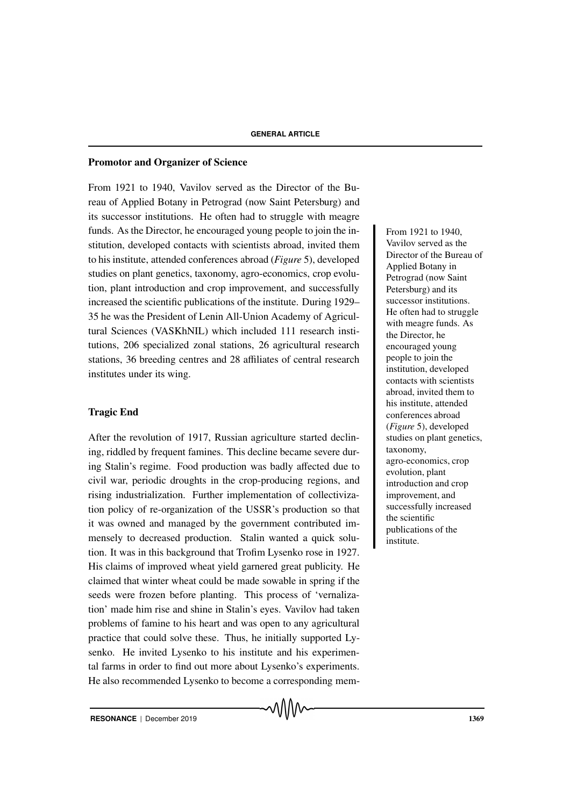#### Promotor and Organizer of Science

From 1921 to 1940, Vavilov served as the Director of the Bureau of Applied Botany in Petrograd (now Saint Petersburg) and its successor institutions. He often had to struggle with meagre funds. As the Director, he encouraged young people to join the in-<br>From 1921 to 1940, stitution, developed contacts with scientists abroad, invited them to his institute, attended conferences abroad (*Figure* 5), developed studies on plant genetics, taxonomy, agro-economics, crop evolution, plant introduction and crop improvement, and successfully increased the scientific publications of the institute. During 1929– 35 he was the President of Lenin All-Union Academy of Agricultural Sciences (VASKhNIL) which included 111 research institutions, 206 specialized zonal stations, 26 agricultural research stations, 36 breeding centres and 28 affiliates of central research institutes under its wing.

# Tragic End

After the revolution of 1917, Russian agriculture started declining, riddled by frequent famines. This decline became severe during Stalin's regime. Food production was badly affected due to civil war, periodic droughts in the crop-producing regions, and rising industrialization. Further implementation of collectivization policy of re-organization of the USSR's production so that it was owned and managed by the government contributed immensely to decreased production. Stalin wanted a quick solution. It was in this background that Trofim Lysenko rose in 1927. His claims of improved wheat yield garnered great publicity. He claimed that winter wheat could be made sowable in spring if the seeds were frozen before planting. This process of 'vernalization' made him rise and shine in Stalin's eyes. Vavilov had taken problems of famine to his heart and was open to any agricultural practice that could solve these. Thus, he initially supported Lysenko. He invited Lysenko to his institute and his experimental farms in order to find out more about Lysenko's experiments. He also recommended Lysenko to become a corresponding memVavilov served as the Director of the Bureau of Applied Botany in Petrograd (now Saint Petersburg) and its successor institutions. He often had to struggle with meagre funds. As the Director, he encouraged young people to join the institution, developed contacts with scientists abroad, invited them to his institute, attended conferences abroad (*Figure* 5), developed studies on plant genetics, taxonomy, agro-economics, crop evolution, plant introduction and crop improvement, and successfully increased the scientific publications of the institute.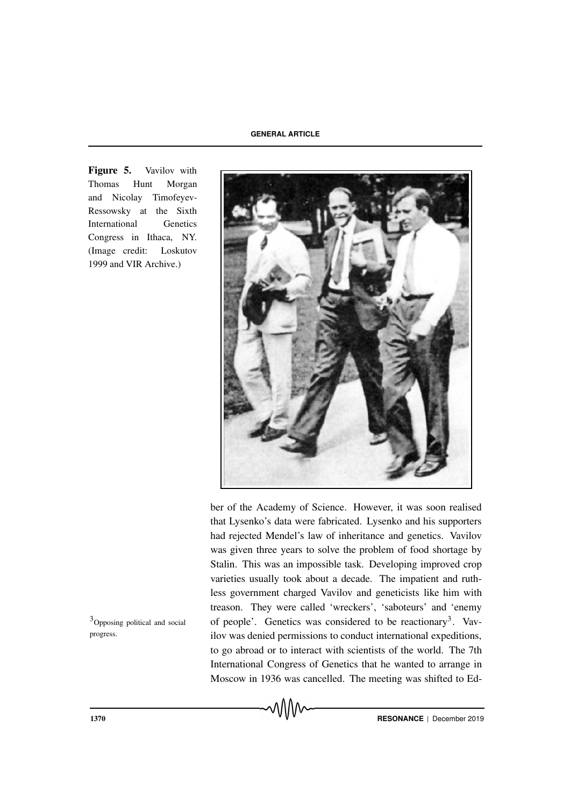Figure 5. Vavilov with Thomas Hunt Morgan and Nicolay Timofeyev-Ressowsky at the Sixth International Genetics Congress in Ithaca, NY. (Image credit: Loskutov 1999 and VIR Archive.)



ber of the Academy of Science. However, it was soon realised that Lysenko's data were fabricated. Lysenko and his supporters had rejected Mendel's law of inheritance and genetics. Vavilov was given three years to solve the problem of food shortage by Stalin. This was an impossible task. Developing improved crop varieties usually took about a decade. The impatient and ruthless government charged Vavilov and geneticists like him with treason. They were called 'wreckers', 'saboteurs' and 'enemy  $3$ Opposing political and social of people'. Genetics was considered to be reactionary<sup>3</sup>. Vavilov was denied permissions to conduct international expeditions, to go abroad or to interact with scientists of the world. The 7th International Congress of Genetics that he wanted to arrange in Moscow in 1936 was cancelled. The meeting was shifted to Ed-

progress.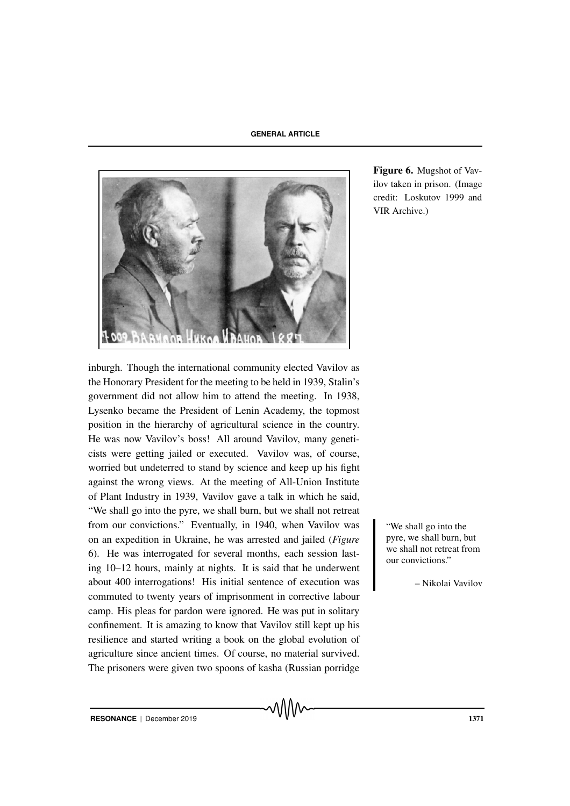

Figure 6. Mugshot of Vavilov taken in prison. (Image credit: Loskutov 1999 and VIR Archive.)

inburgh. Though the international community elected Vavilov as the Honorary President for the meeting to be held in 1939, Stalin's government did not allow him to attend the meeting. In 1938, Lysenko became the President of Lenin Academy, the topmost position in the hierarchy of agricultural science in the country. He was now Vavilov's boss! All around Vavilov, many geneticists were getting jailed or executed. Vavilov was, of course, worried but undeterred to stand by science and keep up his fight against the wrong views. At the meeting of All-Union Institute of Plant Industry in 1939, Vavilov gave a talk in which he said, "We shall go into the pyre, we shall burn, but we shall not retreat from our convictions." Eventually, in 1940, when Vavilov was we shall go into the on an expedition in Ukraine, he was arrested and jailed (*Figure* 6). He was interrogated for several months, each session lasting 10–12 hours, mainly at nights. It is said that he underwent about 400 interrogations! His initial sentence of execution was commuted to twenty years of imprisonment in corrective labour camp. His pleas for pardon were ignored. He was put in solitary confinement. It is amazing to know that Vavilov still kept up his resilience and started writing a book on the global evolution of agriculture since ancient times. Of course, no material survived. The prisoners were given two spoons of kasha (Russian porridge

pyre, we shall burn, but we shall not retreat from our convictions."

– Nikolai Vavilov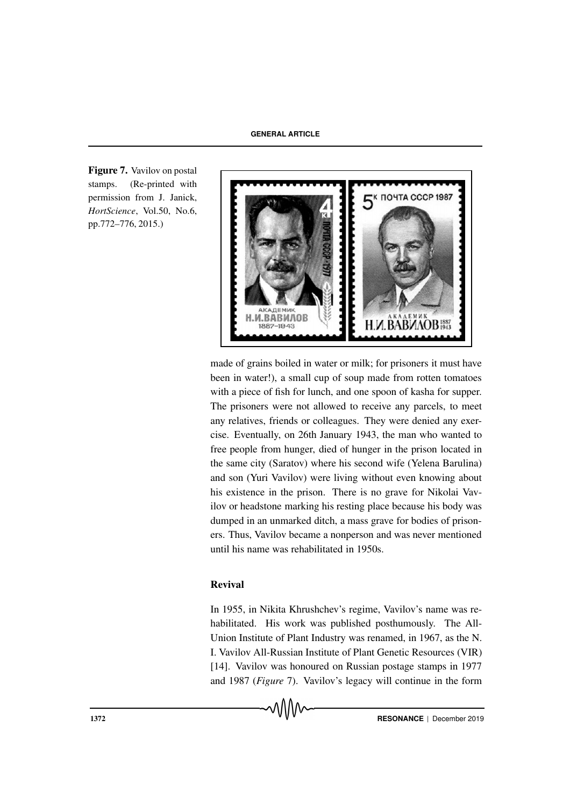Figure 7. Vavilov on postal stamps. (Re-printed with permission from J. Janick, *HortScience*, Vol.50, No.6, pp.772–776, 2015.)



made of grains boiled in water or milk; for prisoners it must have been in water!), a small cup of soup made from rotten tomatoes with a piece of fish for lunch, and one spoon of kasha for supper. The prisoners were not allowed to receive any parcels, to meet any relatives, friends or colleagues. They were denied any exercise. Eventually, on 26th January 1943, the man who wanted to free people from hunger, died of hunger in the prison located in the same city (Saratov) where his second wife (Yelena Barulina) and son (Yuri Vavilov) were living without even knowing about his existence in the prison. There is no grave for Nikolai Vavilov or headstone marking his resting place because his body was dumped in an unmarked ditch, a mass grave for bodies of prisoners. Thus, Vavilov became a nonperson and was never mentioned until his name was rehabilitated in 1950s.

# Revival

In 1955, in Nikita Khrushchev's regime, Vavilov's name was rehabilitated. His work was published posthumously. The All-Union Institute of Plant Industry was renamed, in 1967, as the N. I. Vavilov All-Russian Institute of Plant Genetic Resources (VIR) [14]. Vavilov was honoured on Russian postage stamps in 1977 and 1987 (*Figure* 7). Vavilov's legacy will continue in the form